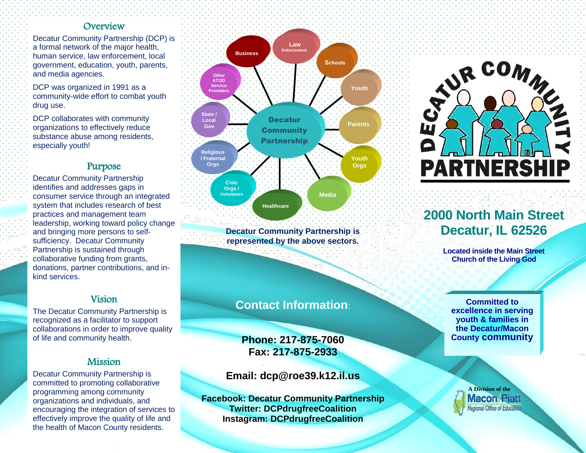### **Overview**

Decatur Community Partnership (DCP) is a formal network of the major health, human service, law enforcement, local government, education, youth, parents, and media agencies.

DCP was organized in 1991 as a community-wide effort to combat youth drug use.

DCP collaborates with community organizations to effectively reduce substance abuse among residents, especially youth!

### Purpose

Decatur Community Partnership identifies and addresses gaps in consumer service through an integrated system that includes research of best practices and management team leadership, working toward policy change and bringing more persons to selfsufficiency. Decatur Community Partnership is sustained through collaborative funding from grants, donations, partner contributions, and inkind services.

### Vision

The Decatur Community Partnership is recognized as a facilitator to support collaborations in order to improve quality of life and community health.

### Mission

Decatur Community Partnership is committed to promoting collaborative programming among community organizations and individuals, and encouraging the integration of services to effectively improve the quality of life and the health of Macon County residents.



**Decatur Community Partnership is represented by the above sectors.**

## **Contact Information**:

**Phone: 217-875-7060 Fax: 217-875-2933**

**Email: dcp@roe39.k12.il.us**

**Facebook: Decatur Community Partnership Twitter: DCPdrugfreeCoalition Instagram: DCPdrugfreeCoalition**



# **2000 North Main Street Decatur, IL 62526**

**Located inside the Main Street Church of the Living God**

**Committed to excellence in serving youth & families in the Decatur/Macon County community**

> **A Division of the Macon/Piatt** Regional Office of Education